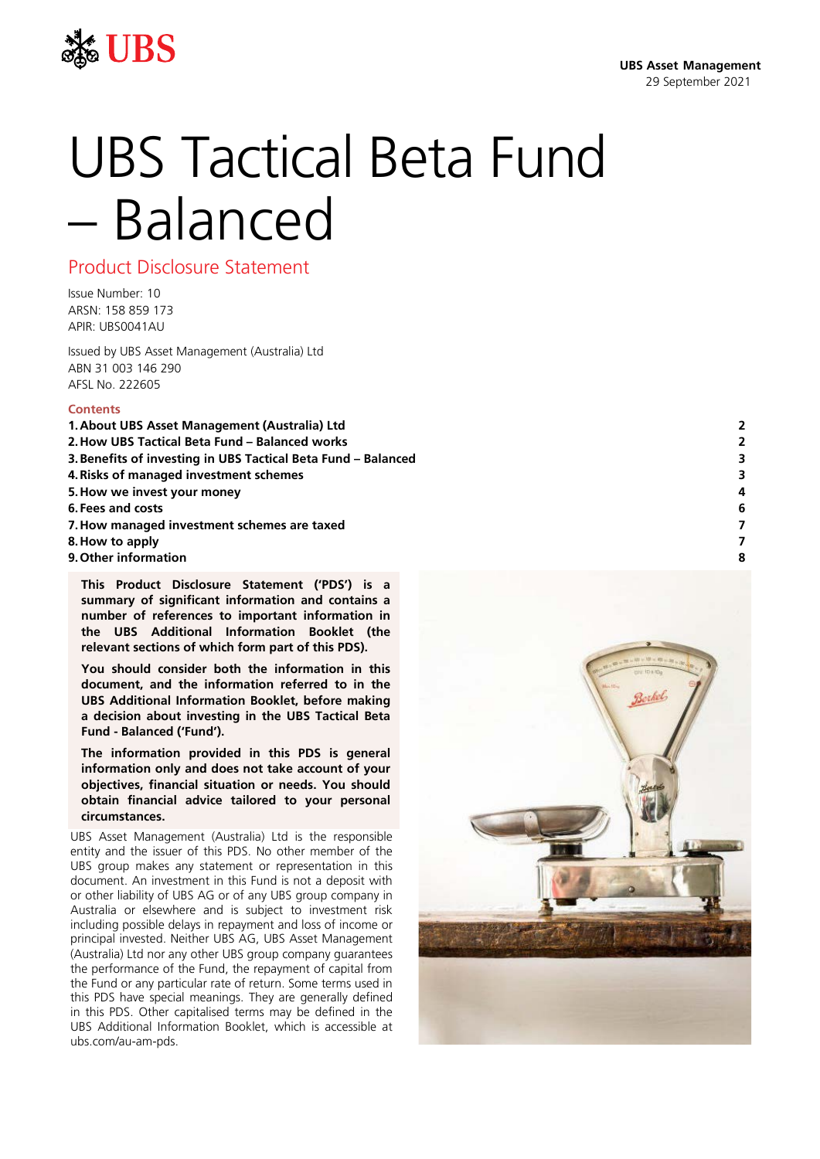

# UBS Tactical Beta Fund – Balanced

Product Disclosure Statement

Issue Number: 10 ARSN: 158 859 173 APIR: UBS0041AU

Issued by UBS Asset Management (Australia) Ltd ABN 31 003 146 290 AFSL No. 222605

#### **Contents**

- **1[.About UBS Asset Management](#page-1-0) (Australia) Ltd 2**
- **2[.How UBS Tactical Beta Fund –](#page-1-1) Balanced works 2**
- **3[.Benefits of investing in UBS Tactical Beta Fund](#page-2-0) – Balanced 3**
- **4[.Risks of managed investment schemes](#page-2-1) 3**
- **5[.How we invest](#page-3-0) your money 4**
- **6[.Fees and costs](#page-5-0) 6**
- **7[.How managed investment schemes are](#page-6-0) taxed 7**
- **8[.How to apply](#page-6-1) 7**
- **9[.Other information](#page-7-0) 8**

**This Product Disclosure Statement ('PDS') is a summary of significant information and contains a number of references to important information in the UBS Additional Information Booklet (the relevant sections of which form part of this PDS).**

**You should consider both the information in this document, and the information referred to in the UBS Additional Information Booklet, before making a decision about investing in the UBS Tactical Beta Fund - Balanced ('Fund').**

**The information provided in this PDS is general information only and does not take account of your objectives, financial situation or needs. You should obtain financial advice tailored to your personal circumstances.**

UBS Asset Management (Australia) Ltd is the responsible entity and the issuer of this PDS. No other member of the UBS group makes any statement or representation in this document. An investment in this Fund is not a deposit with or other liability of UBS AG or of any UBS group company in Australia or elsewhere and is subject to investment risk including possible delays in repayment and loss of income or principal invested. Neither UBS AG, UBS Asset Management (Australia) Ltd nor any other UBS group company guarantees the performance of the Fund, the repayment of capital from the Fund or any particular rate of return. Some terms used in this PDS have special meanings. They are generally defined in this PDS. Other capitalised terms may be defined in the UBS Additional Information Booklet, which is accessible at ubs.com/au-am-pds.

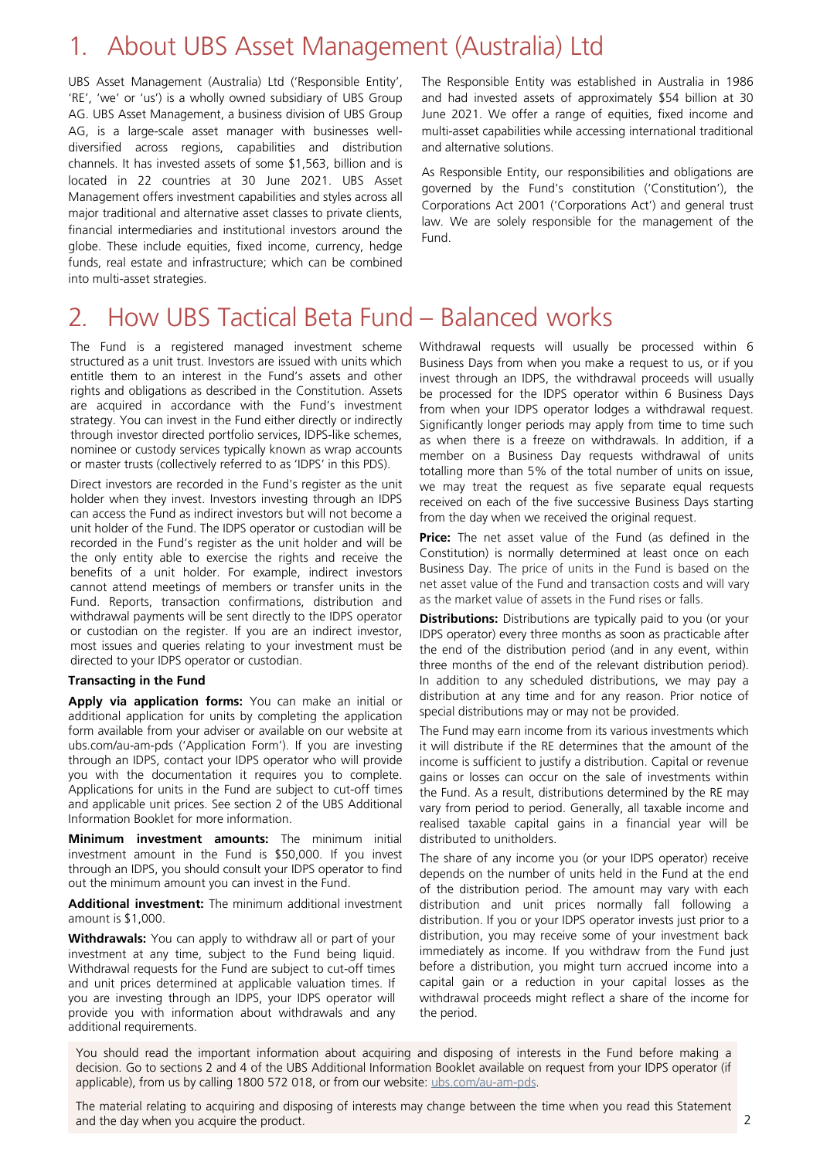### <span id="page-1-0"></span>1. About UBS Asset Management (Australia) Ltd

UBS Asset Management (Australia) Ltd ('Responsible Entity', 'RE', 'we' or 'us') is a wholly owned subsidiary of UBS Group AG. UBS Asset Management, a business division of UBS Group AG, is a large-scale asset manager with businesses welldiversified across regions, capabilities and distribution channels. It has invested assets of some \$1,563, billion and is located in 22 countries at 30 June 2021. UBS Asset Management offers investment capabilities and styles across all major traditional and alternative asset classes to private clients, financial intermediaries and institutional investors around the globe. These include equities, fixed income, currency, hedge funds, real estate and infrastructure; which can be combined into multi-asset strategies.

The Responsible Entity was established in Australia in 1986 and had invested assets of approximately \$54 billion at 30 June 2021. We offer a range of equities, fixed income and multi-asset capabilities while accessing international traditional and alternative solutions.

As Responsible Entity, our responsibilities and obligations are governed by the Fund's constitution ('Constitution'), the Corporations Act 2001 ('Corporations Act') and general trust law. We are solely responsible for the management of the Fund.

### <span id="page-1-1"></span>2. How UBS Tactical Beta Fund – Balanced works

The Fund is a registered managed investment scheme structured as a unit trust. Investors are issued with units which entitle them to an interest in the Fund's assets and other rights and obligations as described in the Constitution. Assets are acquired in accordance with the Fund's investment strategy. You can invest in the Fund either directly or indirectly through investor directed portfolio services, IDPS-like schemes, nominee or custody services typically known as wrap accounts or master trusts (collectively referred to as 'IDPS' in this PDS).

Direct investors are recorded in the Fund's register as the unit holder when they invest. Investors investing through an IDPS can access the Fund as indirect investors but will not become a unit holder of the Fund. The IDPS operator or custodian will be recorded in the Fund's register as the unit holder and will be the only entity able to exercise the rights and receive the benefits of a unit holder. For example, indirect investors cannot attend meetings of members or transfer units in the Fund. Reports, transaction confirmations, distribution and withdrawal payments will be sent directly to the IDPS operator or custodian on the register. If you are an indirect investor, most issues and queries relating to your investment must be directed to your IDPS operator or custodian.

#### **Transacting in the Fund**

**Apply via application forms:** You can make an initial or additional application for units by completing the application form available from your adviser or available on our website at ubs.com/au-am-pds ('Application Form'). If you are investing through an IDPS, contact your IDPS operator who will provide you with the documentation it requires you to complete. Applications for units in the Fund are subject to cut-off times and applicable unit prices. See section 2 of the UBS Additional Information Booklet for more information.

**Minimum investment amounts:** The minimum initial investment amount in the Fund is \$50,000. If you invest through an IDPS, you should consult your IDPS operator to find out the minimum amount you can invest in the Fund.

**Additional investment:** The minimum additional investment amount is \$1,000.

**Withdrawals:** You can apply to withdraw all or part of your investment at any time, subject to the Fund being liquid. Withdrawal requests for the Fund are subject to cut-off times and unit prices determined at applicable valuation times. If you are investing through an IDPS, your IDPS operator will provide you with information about withdrawals and any additional requirements.

Withdrawal requests will usually be processed within 6 Business Days from when you make a request to us, or if you invest through an IDPS, the withdrawal proceeds will usually be processed for the IDPS operator within 6 Business Days from when your IDPS operator lodges a withdrawal request. Significantly longer periods may apply from time to time such as when there is a freeze on withdrawals. In addition, if a member on a Business Day requests withdrawal of units totalling more than 5% of the total number of units on issue, we may treat the request as five separate equal requests received on each of the five successive Business Days starting from the day when we received the original request.

**Price:** The net asset value of the Fund (as defined in the Constitution) is normally determined at least once on each Business Day. The price of units in the Fund is based on the net asset value of the Fund and transaction costs and will vary as the market value of assets in the Fund rises or falls.

**Distributions:** Distributions are typically paid to you (or your IDPS operator) every three months as soon as practicable after the end of the distribution period (and in any event, within three months of the end of the relevant distribution period). In addition to any scheduled distributions, we may pay a distribution at any time and for any reason. Prior notice of special distributions may or may not be provided.

The Fund may earn income from its various investments which it will distribute if the RE determines that the amount of the income is sufficient to justify a distribution. Capital or revenue gains or losses can occur on the sale of investments within the Fund. As a result, distributions determined by the RE may vary from period to period. Generally, all taxable income and realised taxable capital gains in a financial year will be distributed to unitholders.

The share of any income you (or your IDPS operator) receive depends on the number of units held in the Fund at the end of the distribution period. The amount may vary with each distribution and unit prices normally fall following a distribution. If you or your IDPS operator invests just prior to a distribution, you may receive some of your investment back immediately as income. If you withdraw from the Fund just before a distribution, you might turn accrued income into a capital gain or a reduction in your capital losses as the withdrawal proceeds might reflect a share of the income for the period.

You should read the important information about acquiring and disposing of interests in the Fund before making a decision. Go to sections 2 and 4 of the UBS Additional Information Booklet available on request from your IDPS operator (if applicable), from us by calling 1800 572 018, or from our website: [ubs.com/au-am-pds.](http://ubs.com/au-am-pds)

The material relating to acquiring and disposing of interests may change between the time when you read this Statement and the day when you acquire the product.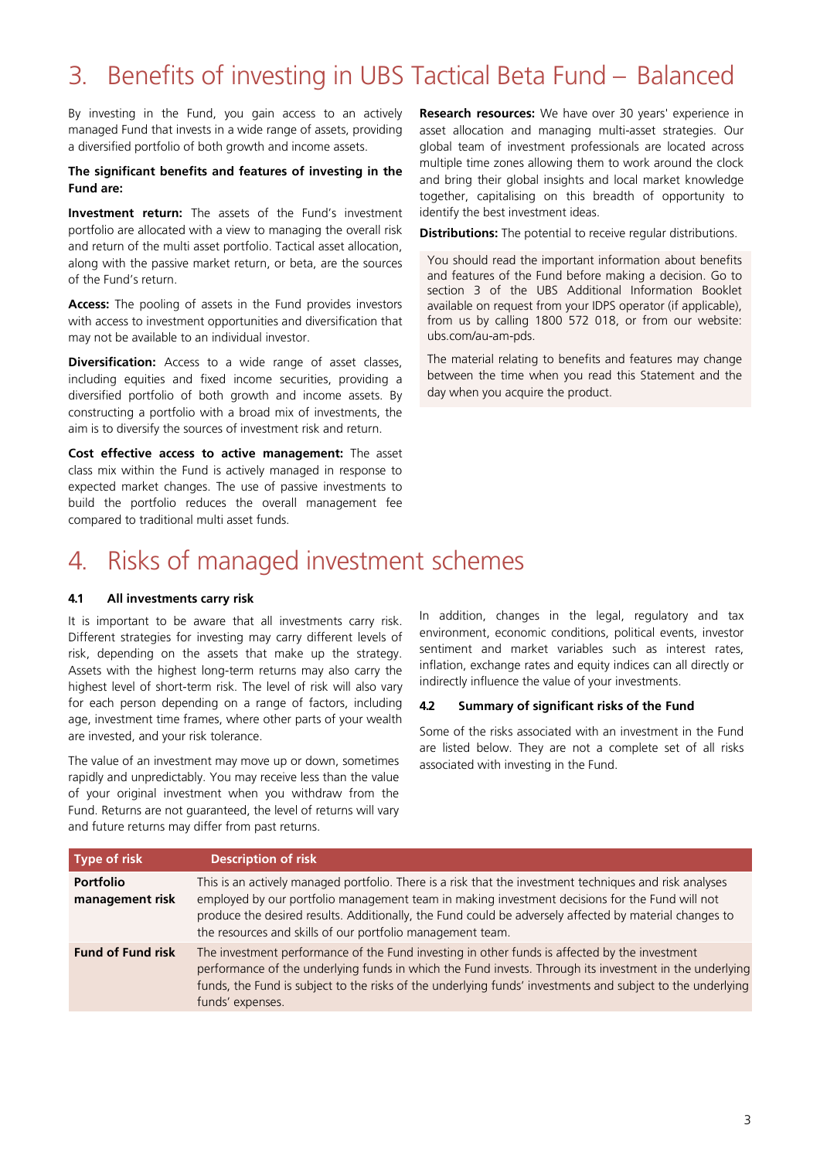## <span id="page-2-0"></span>3. Benefits of investing in UBS Tactical Beta Fund – Balanced

By investing in the Fund, you gain access to an actively managed Fund that invests in a wide range of assets, providing a diversified portfolio of both growth and income assets.

#### **The significant benefits and features of investing in the Fund are:**

**Investment return:** The assets of the Fund's investment portfolio are allocated with a view to managing the overall risk and return of the multi asset portfolio. Tactical asset allocation, along with the passive market return, or beta, are the sources of the Fund's return.

**Access:** The pooling of assets in the Fund provides investors with access to investment opportunities and diversification that may not be available to an individual investor.

**Diversification:** Access to a wide range of asset classes, including equities and fixed income securities, providing a diversified portfolio of both growth and income assets. By constructing a portfolio with a broad mix of investments, the aim is to diversify the sources of investment risk and return.

**Cost effective access to active management:** The asset class mix within the Fund is actively managed in response to expected market changes. The use of passive investments to build the portfolio reduces the overall management fee compared to traditional multi asset funds.

**Research resources:** We have over 30 years' experience in asset allocation and managing multi-asset strategies. Our global team of investment professionals are located across multiple time zones allowing them to work around the clock and bring their global insights and local market knowledge together, capitalising on this breadth of opportunity to identify the best investment ideas.

**Distributions:** The potential to receive regular distributions.

You should read the important information about benefits and features of the Fund before making a decision. Go to section 3 of the UBS Additional Information Booklet available on request from your IDPS operator (if applicable), from us by calling 1800 572 018, or from our website: ubs.com/au-am-pds.

The material relating to benefits and features may change between the time when you read this Statement and the day when you acquire the product.

### <span id="page-2-1"></span>4. Risks of managed investment schemes

#### **4.1 All investments carry risk**

It is important to be aware that all investments carry risk. Different strategies for investing may carry different levels of risk, depending on the assets that make up the strategy. Assets with the highest long-term returns may also carry the highest level of short-term risk. The level of risk will also vary for each person depending on a range of factors, including age, investment time frames, where other parts of your wealth are invested, and your risk tolerance.

The value of an investment may move up or down, sometimes rapidly and unpredictably. You may receive less than the value of your original investment when you withdraw from the Fund. Returns are not guaranteed, the level of returns will vary and future returns may differ from past returns.

In addition, changes in the legal, regulatory and tax environment, economic conditions, political events, investor sentiment and market variables such as interest rates, inflation, exchange rates and equity indices can all directly or indirectly influence the value of your investments.

#### **4.2 Summary of significant risks of the Fund**

Some of the risks associated with an investment in the Fund are listed below. They are not a complete set of all risks associated with investing in the Fund.

| Type of risk                        | <b>Description of risk</b>                                                                                                                                                                                                                                                                                                                                                        |
|-------------------------------------|-----------------------------------------------------------------------------------------------------------------------------------------------------------------------------------------------------------------------------------------------------------------------------------------------------------------------------------------------------------------------------------|
| <b>Portfolio</b><br>management risk | This is an actively managed portfolio. There is a risk that the investment techniques and risk analyses<br>employed by our portfolio management team in making investment decisions for the Fund will not<br>produce the desired results. Additionally, the Fund could be adversely affected by material changes to<br>the resources and skills of our portfolio management team. |
| <b>Fund of Fund risk</b>            | The investment performance of the Fund investing in other funds is affected by the investment<br>performance of the underlying funds in which the Fund invests. Through its investment in the underlying<br>funds, the Fund is subject to the risks of the underlying funds' investments and subject to the underlying<br>funds' expenses.                                        |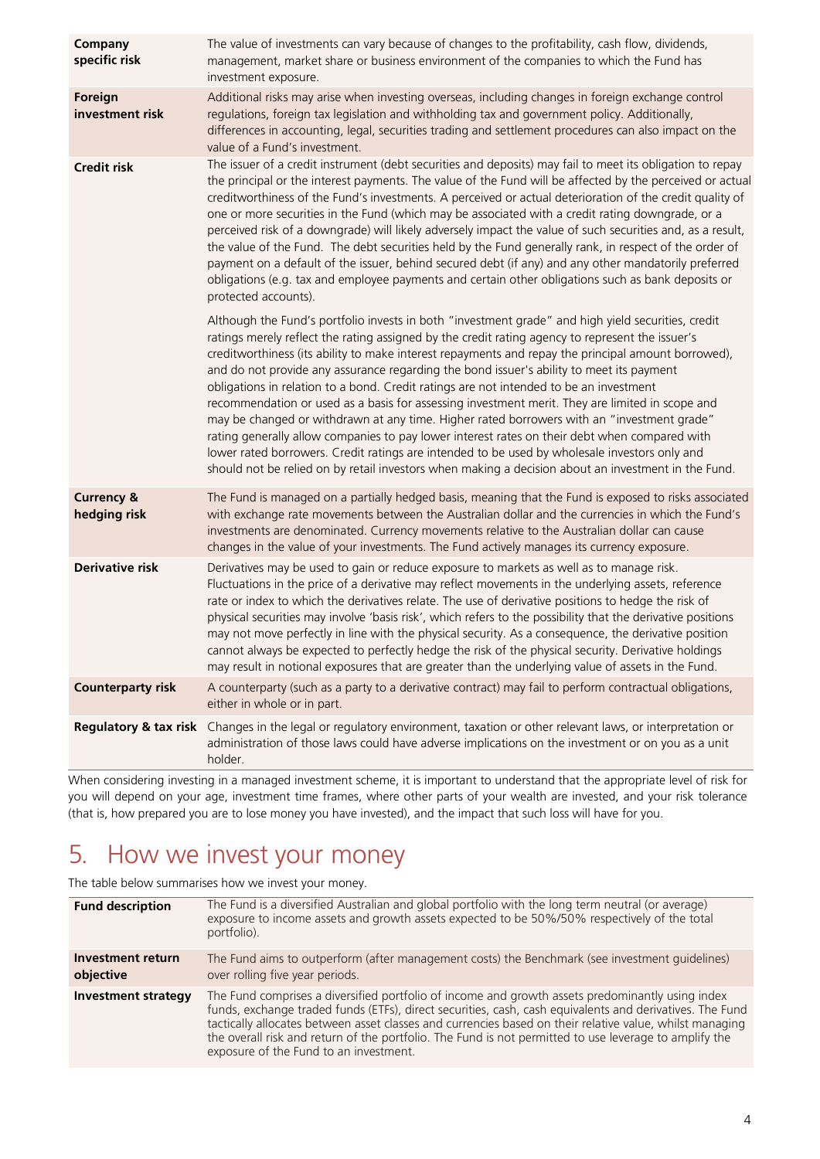| Company<br>specific risk              | The value of investments can vary because of changes to the profitability, cash flow, dividends,<br>management, market share or business environment of the companies to which the Fund has                                                                                                                                                                                                                                                                                                                                                                                                                                                                                                                                                                                                                                                                                                                                                                                                                   |
|---------------------------------------|---------------------------------------------------------------------------------------------------------------------------------------------------------------------------------------------------------------------------------------------------------------------------------------------------------------------------------------------------------------------------------------------------------------------------------------------------------------------------------------------------------------------------------------------------------------------------------------------------------------------------------------------------------------------------------------------------------------------------------------------------------------------------------------------------------------------------------------------------------------------------------------------------------------------------------------------------------------------------------------------------------------|
| Foreign<br>investment risk            | investment exposure.<br>Additional risks may arise when investing overseas, including changes in foreign exchange control<br>regulations, foreign tax legislation and withholding tax and government policy. Additionally,<br>differences in accounting, legal, securities trading and settlement procedures can also impact on the<br>value of a Fund's investment.                                                                                                                                                                                                                                                                                                                                                                                                                                                                                                                                                                                                                                          |
| <b>Credit risk</b>                    | The issuer of a credit instrument (debt securities and deposits) may fail to meet its obligation to repay<br>the principal or the interest payments. The value of the Fund will be affected by the perceived or actual<br>creditworthiness of the Fund's investments. A perceived or actual deterioration of the credit quality of<br>one or more securities in the Fund (which may be associated with a credit rating downgrade, or a<br>perceived risk of a downgrade) will likely adversely impact the value of such securities and, as a result,<br>the value of the Fund. The debt securities held by the Fund generally rank, in respect of the order of<br>payment on a default of the issuer, behind secured debt (if any) and any other mandatorily preferred<br>obligations (e.g. tax and employee payments and certain other obligations such as bank deposits or<br>protected accounts).                                                                                                          |
|                                       | Although the Fund's portfolio invests in both "investment grade" and high yield securities, credit<br>ratings merely reflect the rating assigned by the credit rating agency to represent the issuer's<br>creditworthiness (its ability to make interest repayments and repay the principal amount borrowed),<br>and do not provide any assurance regarding the bond issuer's ability to meet its payment<br>obligations in relation to a bond. Credit ratings are not intended to be an investment<br>recommendation or used as a basis for assessing investment merit. They are limited in scope and<br>may be changed or withdrawn at any time. Higher rated borrowers with an "investment grade"<br>rating generally allow companies to pay lower interest rates on their debt when compared with<br>lower rated borrowers. Credit ratings are intended to be used by wholesale investors only and<br>should not be relied on by retail investors when making a decision about an investment in the Fund. |
| <b>Currency &amp;</b><br>hedging risk | The Fund is managed on a partially hedged basis, meaning that the Fund is exposed to risks associated<br>with exchange rate movements between the Australian dollar and the currencies in which the Fund's<br>investments are denominated. Currency movements relative to the Australian dollar can cause<br>changes in the value of your investments. The Fund actively manages its currency exposure.                                                                                                                                                                                                                                                                                                                                                                                                                                                                                                                                                                                                       |
| <b>Derivative risk</b>                | Derivatives may be used to gain or reduce exposure to markets as well as to manage risk.<br>Fluctuations in the price of a derivative may reflect movements in the underlying assets, reference<br>rate or index to which the derivatives relate. The use of derivative positions to hedge the risk of<br>physical securities may involve 'basis risk', which refers to the possibility that the derivative positions<br>may not move perfectly in line with the physical security. As a consequence, the derivative position<br>cannot always be expected to perfectly hedge the risk of the physical security. Derivative holdings<br>may result in notional exposures that are greater than the underlying value of assets in the Fund.                                                                                                                                                                                                                                                                    |
| <b>Counterparty risk</b>              | A counterparty (such as a party to a derivative contract) may fail to perform contractual obligations,<br>either in whole or in part.                                                                                                                                                                                                                                                                                                                                                                                                                                                                                                                                                                                                                                                                                                                                                                                                                                                                         |
| <b>Regulatory &amp; tax risk</b>      | Changes in the legal or regulatory environment, taxation or other relevant laws, or interpretation or<br>administration of those laws could have adverse implications on the investment or on you as a unit<br>holder.                                                                                                                                                                                                                                                                                                                                                                                                                                                                                                                                                                                                                                                                                                                                                                                        |
|                                       | When considering investing in a managed investment schome it is important to understand that the appropriate level of risk for                                                                                                                                                                                                                                                                                                                                                                                                                                                                                                                                                                                                                                                                                                                                                                                                                                                                                |

When considering investing in a managed investment scheme, it is important to understand that the appropriate level of risk for you will depend on your age, investment time frames, where other parts of your wealth are invested, and your risk tolerance (that is, how prepared you are to lose money you have invested), and the impact that such loss will have for you.

# <span id="page-3-0"></span>5. How we invest your money

The table below summarises how we invest your money.

| <b>Fund description</b>        | The Fund is a diversified Australian and global portfolio with the long term neutral (or average)<br>exposure to income assets and growth assets expected to be 50%/50% respectively of the total<br>portfolio).                                                                                                                                                                                                                                                             |
|--------------------------------|------------------------------------------------------------------------------------------------------------------------------------------------------------------------------------------------------------------------------------------------------------------------------------------------------------------------------------------------------------------------------------------------------------------------------------------------------------------------------|
| Investment return<br>objective | The Fund aims to outperform (after management costs) the Benchmark (see investment quidelines)<br>over rolling five year periods.                                                                                                                                                                                                                                                                                                                                            |
| <b>Investment strategy</b>     | The Fund comprises a diversified portfolio of income and growth assets predominantly using index<br>funds, exchange traded funds (ETFs), direct securities, cash, cash equivalents and derivatives. The Fund<br>tactically allocates between asset classes and currencies based on their relative value, whilst managing<br>the overall risk and return of the portfolio. The Fund is not permitted to use leverage to amplify the<br>exposure of the Fund to an investment. |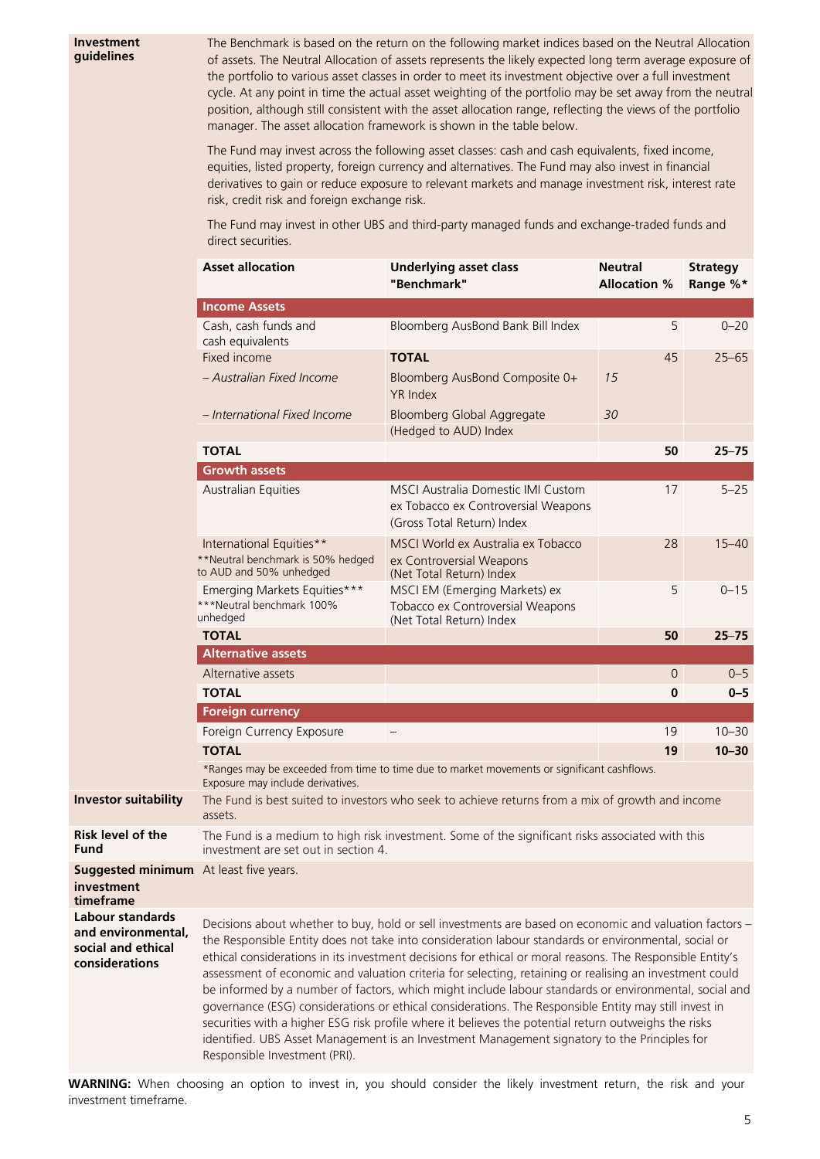The Benchmark is based on the return on the following market indices based on the Neutral Allocation of assets. The Neutral Allocation of assets represents the likely expected long term average exposure of the portfolio to various asset classes in order to meet its investment objective over a full investment cycle. At any point in time the actual asset weighting of the portfolio may be set away from the neutral position, although still consistent with the asset allocation range, reflecting the views of the portfolio manager. The asset allocation framework is shown in the table below.

The Fund may invest across the following asset classes: cash and cash equivalents, fixed income, equities, listed property, foreign currency and alternatives. The Fund may also invest in financial derivatives to gain or reduce exposure to relevant markets and manage investment risk, interest rate risk, credit risk and foreign exchange risk.

The Fund may invest in other UBS and third-party managed funds and exchange-traded funds and direct securities.

|                                                                                       | <b>Asset allocation</b>                                                                                                                                                                                                                                                                                                                                                                                                                                                                                                                                                                                                                                                                                                                                                                                                                                                                           | <b>Underlying asset class</b><br>"Benchmark"                                                            | <b>Neutral</b><br><b>Allocation %</b> | <b>Strategy</b><br>Range %* |  |
|---------------------------------------------------------------------------------------|---------------------------------------------------------------------------------------------------------------------------------------------------------------------------------------------------------------------------------------------------------------------------------------------------------------------------------------------------------------------------------------------------------------------------------------------------------------------------------------------------------------------------------------------------------------------------------------------------------------------------------------------------------------------------------------------------------------------------------------------------------------------------------------------------------------------------------------------------------------------------------------------------|---------------------------------------------------------------------------------------------------------|---------------------------------------|-----------------------------|--|
|                                                                                       | <b>Income Assets</b>                                                                                                                                                                                                                                                                                                                                                                                                                                                                                                                                                                                                                                                                                                                                                                                                                                                                              |                                                                                                         |                                       |                             |  |
|                                                                                       | Cash, cash funds and<br>cash equivalents                                                                                                                                                                                                                                                                                                                                                                                                                                                                                                                                                                                                                                                                                                                                                                                                                                                          | Bloomberg AusBond Bank Bill Index                                                                       | 5                                     | $0 - 20$                    |  |
|                                                                                       | Fixed income<br>- Australian Fixed Income                                                                                                                                                                                                                                                                                                                                                                                                                                                                                                                                                                                                                                                                                                                                                                                                                                                         | <b>TOTAL</b>                                                                                            | 45                                    | $25 - 65$                   |  |
|                                                                                       |                                                                                                                                                                                                                                                                                                                                                                                                                                                                                                                                                                                                                                                                                                                                                                                                                                                                                                   | Bloomberg AusBond Composite 0+<br><b>YR</b> Index                                                       | 15                                    |                             |  |
|                                                                                       | - International Fixed Income                                                                                                                                                                                                                                                                                                                                                                                                                                                                                                                                                                                                                                                                                                                                                                                                                                                                      | Bloomberg Global Aggregate<br>(Hedged to AUD) Index                                                     | 30                                    |                             |  |
|                                                                                       | <b>TOTAL</b>                                                                                                                                                                                                                                                                                                                                                                                                                                                                                                                                                                                                                                                                                                                                                                                                                                                                                      |                                                                                                         | 50                                    | $25 - 75$                   |  |
|                                                                                       | <b>Growth assets</b>                                                                                                                                                                                                                                                                                                                                                                                                                                                                                                                                                                                                                                                                                                                                                                                                                                                                              |                                                                                                         |                                       |                             |  |
|                                                                                       | Australian Equities                                                                                                                                                                                                                                                                                                                                                                                                                                                                                                                                                                                                                                                                                                                                                                                                                                                                               | MSCI Australia Domestic IMI Custom<br>ex Tobacco ex Controversial Weapons<br>(Gross Total Return) Index | 17                                    | $5 - 25$                    |  |
|                                                                                       | International Equities**<br>**Neutral benchmark is 50% hedged<br>to AUD and 50% unhedged                                                                                                                                                                                                                                                                                                                                                                                                                                                                                                                                                                                                                                                                                                                                                                                                          | MSCI World ex Australia ex Tobacco<br>ex Controversial Weapons<br>(Net Total Return) Index              | 28                                    | $15 - 40$                   |  |
|                                                                                       | Emerging Markets Equities***<br>***Neutral benchmark 100%<br>unhedged                                                                                                                                                                                                                                                                                                                                                                                                                                                                                                                                                                                                                                                                                                                                                                                                                             | MSCI EM (Emerging Markets) ex<br>Tobacco ex Controversial Weapons<br>(Net Total Return) Index           | 5                                     | $0 - 15$                    |  |
|                                                                                       | <b>TOTAL</b>                                                                                                                                                                                                                                                                                                                                                                                                                                                                                                                                                                                                                                                                                                                                                                                                                                                                                      |                                                                                                         | 50                                    | $25 - 75$                   |  |
|                                                                                       | <b>Alternative assets</b>                                                                                                                                                                                                                                                                                                                                                                                                                                                                                                                                                                                                                                                                                                                                                                                                                                                                         |                                                                                                         |                                       |                             |  |
|                                                                                       | Alternative assets                                                                                                                                                                                                                                                                                                                                                                                                                                                                                                                                                                                                                                                                                                                                                                                                                                                                                |                                                                                                         | $\circ$                               | $0 - 5$                     |  |
|                                                                                       | <b>TOTAL</b>                                                                                                                                                                                                                                                                                                                                                                                                                                                                                                                                                                                                                                                                                                                                                                                                                                                                                      |                                                                                                         | 0                                     | $0 - 5$                     |  |
|                                                                                       | <b>Foreign currency</b>                                                                                                                                                                                                                                                                                                                                                                                                                                                                                                                                                                                                                                                                                                                                                                                                                                                                           |                                                                                                         |                                       |                             |  |
|                                                                                       | Foreign Currency Exposure                                                                                                                                                                                                                                                                                                                                                                                                                                                                                                                                                                                                                                                                                                                                                                                                                                                                         |                                                                                                         | 19                                    | $10 - 30$                   |  |
|                                                                                       | <b>TOTAL</b>                                                                                                                                                                                                                                                                                                                                                                                                                                                                                                                                                                                                                                                                                                                                                                                                                                                                                      |                                                                                                         | 19                                    | $10 - 30$                   |  |
|                                                                                       | *Ranges may be exceeded from time to time due to market movements or significant cashflows.                                                                                                                                                                                                                                                                                                                                                                                                                                                                                                                                                                                                                                                                                                                                                                                                       |                                                                                                         |                                       |                             |  |
| <b>Investor suitability</b>                                                           | Exposure may include derivatives.<br>The Fund is best suited to investors who seek to achieve returns from a mix of growth and income<br>assets.                                                                                                                                                                                                                                                                                                                                                                                                                                                                                                                                                                                                                                                                                                                                                  |                                                                                                         |                                       |                             |  |
| <b>Risk level of the</b><br><b>Fund</b>                                               | The Fund is a medium to high risk investment. Some of the significant risks associated with this<br>investment are set out in section 4.                                                                                                                                                                                                                                                                                                                                                                                                                                                                                                                                                                                                                                                                                                                                                          |                                                                                                         |                                       |                             |  |
| <b>Suggested minimum</b> At least five years.<br>investment<br>timeframe              |                                                                                                                                                                                                                                                                                                                                                                                                                                                                                                                                                                                                                                                                                                                                                                                                                                                                                                   |                                                                                                         |                                       |                             |  |
| <b>Labour standards</b><br>and environmental,<br>social and ethical<br>considerations | Decisions about whether to buy, hold or sell investments are based on economic and valuation factors -<br>the Responsible Entity does not take into consideration labour standards or environmental, social or<br>ethical considerations in its investment decisions for ethical or moral reasons. The Responsible Entity's<br>assessment of economic and valuation criteria for selecting, retaining or realising an investment could<br>be informed by a number of factors, which might include labour standards or environmental, social and<br>governance (ESG) considerations or ethical considerations. The Responsible Entity may still invest in<br>securities with a higher ESG risk profile where it believes the potential return outweighs the risks<br>identified. UBS Asset Management is an Investment Management signatory to the Principles for<br>Responsible Investment (PRI). |                                                                                                         |                                       |                             |  |

**WARNING:** When choosing an option to invest in, you should consider the likely investment return, the risk and your investment timeframe.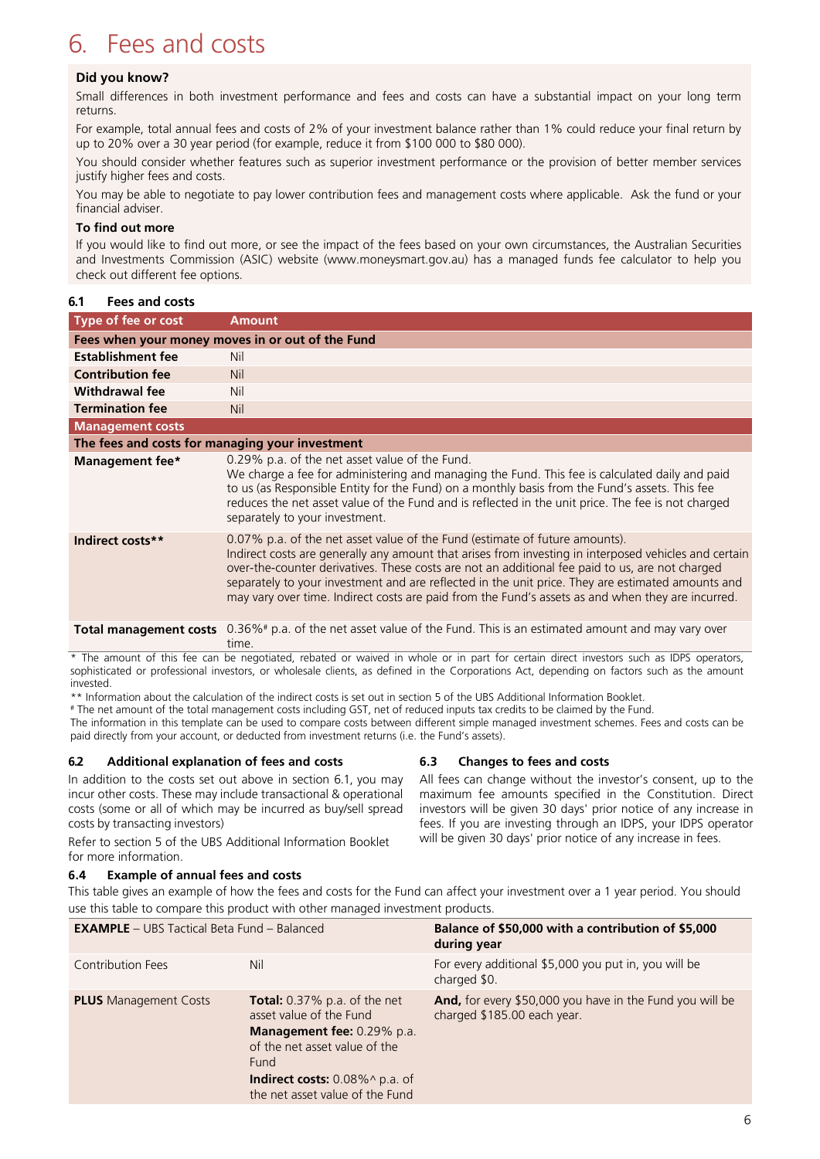### <span id="page-5-0"></span>6. Fees and costs

#### **Did you know?**

Small differences in both investment performance and fees and costs can have a substantial impact on your long term returns.

For example, total annual fees and costs of 2% of your investment balance rather than 1% could reduce your final return by up to 20% over a 30 year period (for example, reduce it from \$100 000 to \$80 000).

You should consider whether features such as superior investment performance or the provision of better member services justify higher fees and costs.

You may be able to negotiate to pay lower contribution fees and management costs where applicable. Ask the fund or your financial adviser.

#### **To find out more**

If you would like to find out more, or see the impact of the fees based on your own circumstances, the Australian Securities and Investments Commission (ASIC) website (www.moneysmart.gov.au) has a managed funds fee calculator to help you check out different fee options.

#### **6.1 Fees and costs**

| Type of fee or cost                              | <b>Amount</b>                                                                                                                                                                                                                                                                                                                                                                                                                                                                                     |  |
|--------------------------------------------------|---------------------------------------------------------------------------------------------------------------------------------------------------------------------------------------------------------------------------------------------------------------------------------------------------------------------------------------------------------------------------------------------------------------------------------------------------------------------------------------------------|--|
| Fees when your money moves in or out of the Fund |                                                                                                                                                                                                                                                                                                                                                                                                                                                                                                   |  |
| <b>Establishment fee</b>                         | Nil                                                                                                                                                                                                                                                                                                                                                                                                                                                                                               |  |
| <b>Contribution fee</b>                          | <b>Nil</b>                                                                                                                                                                                                                                                                                                                                                                                                                                                                                        |  |
| <b>Withdrawal fee</b>                            | Nil                                                                                                                                                                                                                                                                                                                                                                                                                                                                                               |  |
| <b>Termination fee</b>                           | <b>Nil</b>                                                                                                                                                                                                                                                                                                                                                                                                                                                                                        |  |
| <b>Management costs</b>                          |                                                                                                                                                                                                                                                                                                                                                                                                                                                                                                   |  |
| The fees and costs for managing your investment  |                                                                                                                                                                                                                                                                                                                                                                                                                                                                                                   |  |
| Management fee*                                  | 0.29% p.a. of the net asset value of the Fund.<br>We charge a fee for administering and managing the Fund. This fee is calculated daily and paid<br>to us (as Responsible Entity for the Fund) on a monthly basis from the Fund's assets. This fee<br>reduces the net asset value of the Fund and is reflected in the unit price. The fee is not charged<br>separately to your investment.                                                                                                        |  |
| Indirect costs**                                 | 0.07% p.a. of the net asset value of the Fund (estimate of future amounts).<br>Indirect costs are generally any amount that arises from investing in interposed vehicles and certain<br>over-the-counter derivatives. These costs are not an additional fee paid to us, are not charged<br>separately to your investment and are reflected in the unit price. They are estimated amounts and<br>may vary over time. Indirect costs are paid from the Fund's assets as and when they are incurred. |  |
|                                                  | Total management costs 0.36%# p.a. of the net asset value of the Fund. This is an estimated amount and may vary over                                                                                                                                                                                                                                                                                                                                                                              |  |

The amount of this fee can be negotiated, rebated or waived in whole or in part for certain direct investors such as IDPS operators, sophisticated or professional investors, or wholesale clients, as defined in the Corporations Act, depending on factors such as the amount invested.

\*\* Information about the calculation of the indirect costs is set out in section 5 of the UBS Additional Information Booklet.

# The net amount of the total management costs including GST, net of reduced inputs tax credits to be claimed by the Fund.

The information in this template can be used to compare costs between different simple managed investment schemes. Fees and costs can be paid directly from your account, or deducted from investment returns (i.e. the Fund's assets).

#### **6.2 Additional explanation of fees and costs**

In addition to the costs set out above in section 6.1, you may incur other costs. These may include transactional & operational costs (some or all of which may be incurred as buy/sell spread costs by transacting investors)

time.

Refer to section 5 of the UBS Additional Information Booklet for more information.

#### **6.4 Example of annual fees and costs**

#### **6.3 Changes to fees and costs**

All fees can change without the investor's consent, up to the maximum fee amounts specified in the Constitution. Direct investors will be given 30 days' prior notice of any increase in fees. If you are investing through an IDPS, your IDPS operator will be given 30 days' prior notice of any increase in fees.

This table gives an example of how the fees and costs for the Fund can affect your investment over a 1 year period. You should use this table to compare this product with other managed investment products.

| <b>EXAMPLE</b> - UBS Tactical Beta Fund - Balanced |                                                                                                                                                                                                               | Balance of \$50,000 with a contribution of \$5,000<br>during year                       |  |
|----------------------------------------------------|---------------------------------------------------------------------------------------------------------------------------------------------------------------------------------------------------------------|-----------------------------------------------------------------------------------------|--|
| <b>Contribution Fees</b>                           | Nil                                                                                                                                                                                                           | For every additional \$5,000 you put in, you will be<br>charged \$0.                    |  |
| <b>PLUS</b> Management Costs                       | <b>Total:</b> $0.37\%$ p.a. of the net<br>asset value of the Fund<br>Management fee: 0.29% p.a.<br>of the net asset value of the<br>Fund<br>Indirect costs: 0.08%^ p.a. of<br>the net asset value of the Fund | And, for every \$50,000 you have in the Fund you will be<br>charged \$185.00 each year. |  |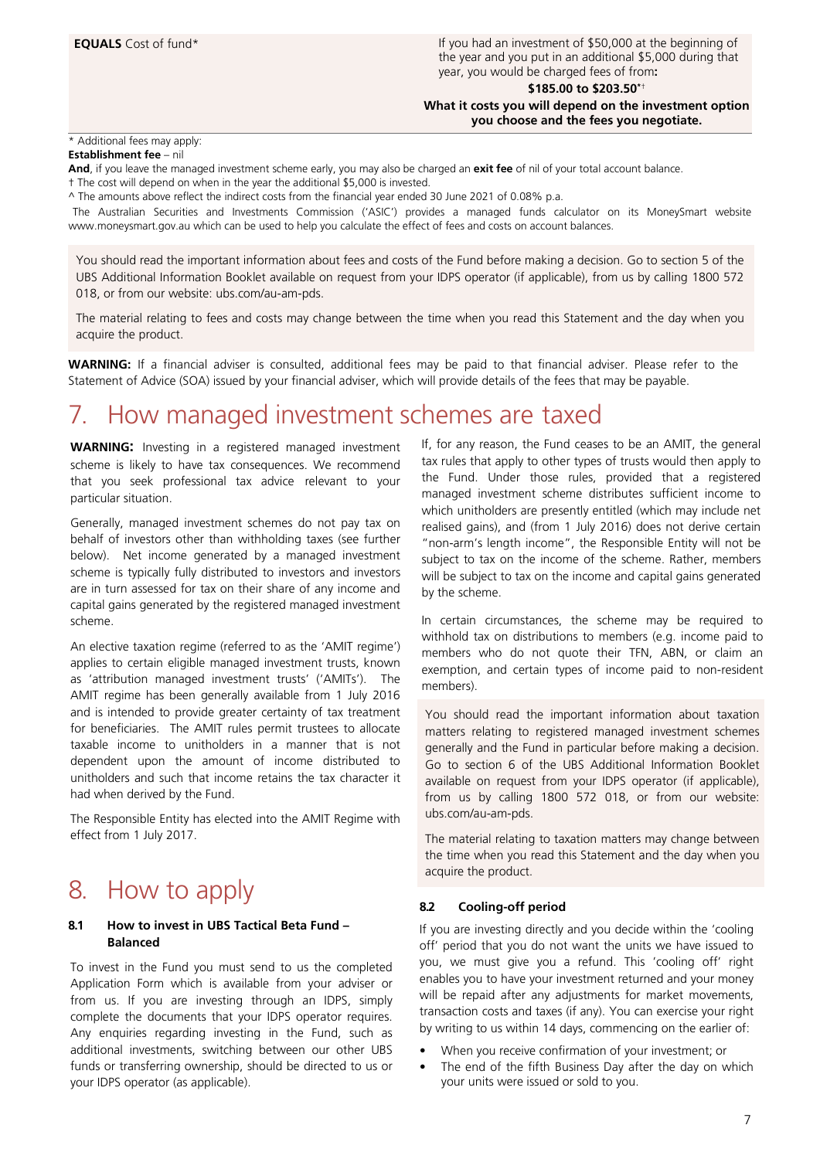**EQUALS** Cost of fund\* If you had an investment of \$50,000 at the beginning of the year and you put in an additional \$5,000 during that year, you would be charged fees of from**:**

**\$185.00 to \$203.50\***†

**What it costs you will depend on the investment option you choose and the fees you negotiate.**

#### \* Additional fees may apply:

**Establishment fee** – nil

**And**, if you leave the managed investment scheme early, you may also be charged an **exit fee** of nil of your total account balance.

† The cost will depend on when in the year the additional \$5,000 is invested.

^ The amounts above reflect the indirect costs from the financial year ended 30 June 2021 of 0.08% p.a.

The Australian Securities and Investments Commission ('ASIC') provides a managed funds calculator on its MoneySmart website www.moneysmart.gov.au which can be used to help you calculate the effect of fees and costs on account balances.

You should read the important information about fees and costs of the Fund before making a decision. Go to section 5 of the UBS Additional Information Booklet available on request from your IDPS operator (if applicable), from us by calling 1800 572 018, or from our website: ubs.com/au-am-pds.

The material relating to fees and costs may change between the time when you read this Statement and the day when you acquire the product.

**WARNING:** If a financial adviser is consulted, additional fees may be paid to that financial adviser. Please refer to the Statement of Advice (SOA) issued by your financial adviser, which will provide details of the fees that may be payable.

### <span id="page-6-0"></span>7. How managed investment schemes are taxed

**WARNING:** Investing in a registered managed investment scheme is likely to have tax consequences. We recommend that you seek professional tax advice relevant to your particular situation.

Generally, managed investment schemes do not pay tax on behalf of investors other than withholding taxes (see further below). Net income generated by a managed investment scheme is typically fully distributed to investors and investors are in turn assessed for tax on their share of any income and capital gains generated by the registered managed investment scheme.

An elective taxation regime (referred to as the 'AMIT regime') applies to certain eligible managed investment trusts, known as 'attribution managed investment trusts' ('AMITs'). The AMIT regime has been generally available from 1 July 2016 and is intended to provide greater certainty of tax treatment for beneficiaries. The AMIT rules permit trustees to allocate taxable income to unitholders in a manner that is not dependent upon the amount of income distributed to unitholders and such that income retains the tax character it had when derived by the Fund.

The Responsible Entity has elected into the AMIT Regime with effect from 1 July 2017.

### <span id="page-6-1"></span>8. How to apply

#### **8.1 How to invest in UBS Tactical Beta Fund – Balanced**

To invest in the Fund you must send to us the completed Application Form which is available from your adviser or from us. If you are investing through an IDPS, simply complete the documents that your IDPS operator requires. Any enquiries regarding investing in the Fund, such as additional investments, switching between our other UBS funds or transferring ownership, should be directed to us or your IDPS operator (as applicable).

If, for any reason, the Fund ceases to be an AMIT, the general tax rules that apply to other types of trusts would then apply to the Fund. Under those rules, provided that a registered managed investment scheme distributes sufficient income to which unitholders are presently entitled (which may include net realised gains), and (from 1 July 2016) does not derive certain "non-arm's length income", the Responsible Entity will not be subject to tax on the income of the scheme. Rather, members will be subject to tax on the income and capital gains generated by the scheme.

In certain circumstances, the scheme may be required to withhold tax on distributions to members (e.g. income paid to members who do not quote their TFN, ABN, or claim an exemption, and certain types of income paid to non-resident members).

You should read the important information about taxation matters relating to registered managed investment schemes generally and the Fund in particular before making a decision. Go to section 6 of the UBS Additional Information Booklet available on request from your IDPS operator (if applicable), from us by calling 1800 572 018, or from our website: ubs.com/au-am-pds.

The material relating to taxation matters may change between the time when you read this Statement and the day when you acquire the product.

#### **8.2 Cooling-off period**

If you are investing directly and you decide within the 'cooling off' period that you do not want the units we have issued to you, we must give you a refund. This 'cooling off' right enables you to have your investment returned and your money will be repaid after any adjustments for market movements, transaction costs and taxes (if any). You can exercise your right by writing to us within 14 days, commencing on the earlier of:

- When you receive confirmation of your investment; or
- The end of the fifth Business Day after the day on which your units were issued or sold to you.